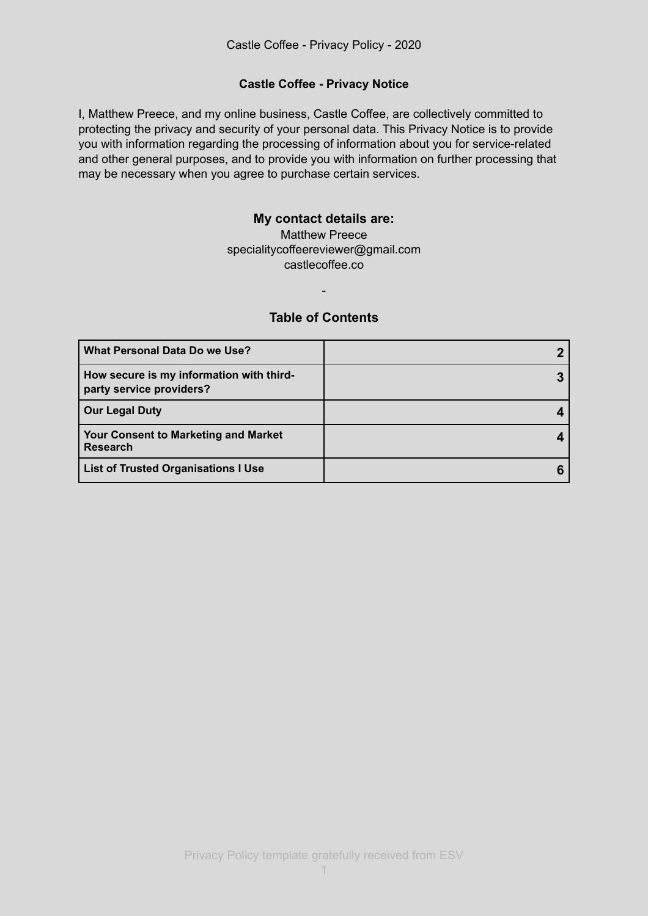# **Castle Coffee - Privacy Notice**

I, Matthew Preece, and my online business, Castle Coffee, are collectively committed to protecting the privacy and security of your personal data. This Privacy Notice is to provide you with information regarding the processing of information about you for service-related and other general purposes, and to provide you with information on further processing that may be necessary when you agree to purchase certain services.

# **My contact details are:**

Matthew Preece specialitycoffeereviewer@gmail.com castlecoffee.co

# **Table of Contents**

-

| What Personal Data Do we Use?                                        |  |
|----------------------------------------------------------------------|--|
| How secure is my information with third-<br>party service providers? |  |
| <b>Our Legal Duty</b>                                                |  |
| <b>Your Consent to Marketing and Market</b><br><b>Research</b>       |  |
| <b>List of Trusted Organisations I Use</b>                           |  |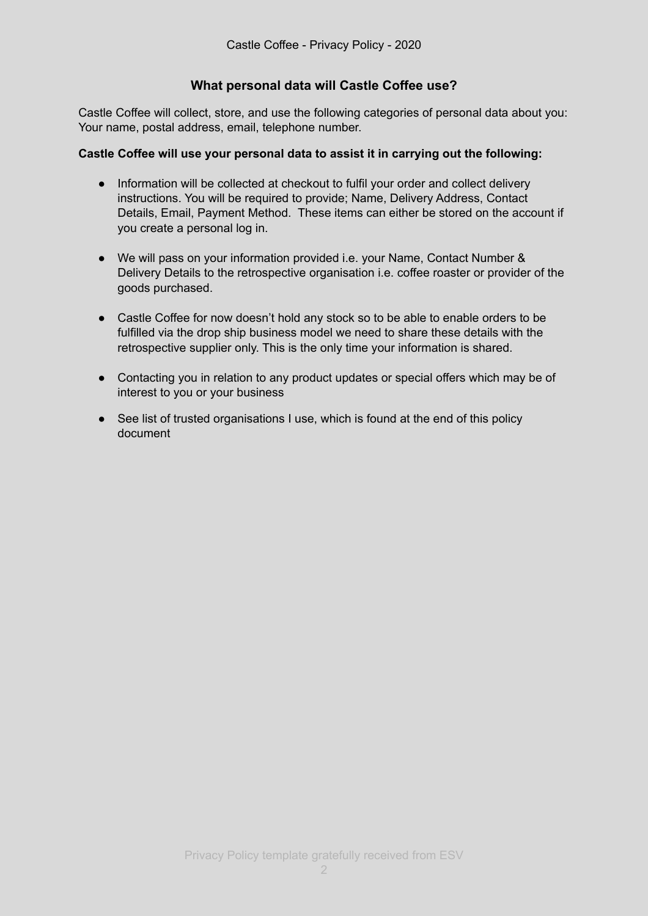# **What personal data will Castle Coffee use?**

Castle Coffee will collect, store, and use the following categories of personal data about you: Your name, postal address, email, telephone number.

### **Castle Coffee will use your personal data to assist it in carrying out the following:**

- Information will be collected at checkout to fulfil your order and collect delivery instructions. You will be required to provide; Name, Delivery Address, Contact Details, Email, Payment Method. These items can either be stored on the account if you create a personal log in.
- We will pass on your information provided i.e. your Name, Contact Number & Delivery Details to the retrospective organisation i.e. coffee roaster or provider of the goods purchased.
- Castle Coffee for now doesn't hold any stock so to be able to enable orders to be fulfilled via the drop ship business model we need to share these details with the retrospective supplier only. This is the only time your information is shared.
- Contacting you in relation to any product updates or special offers which may be of interest to you or your business
- See list of trusted organisations I use, which is found at the end of this policy document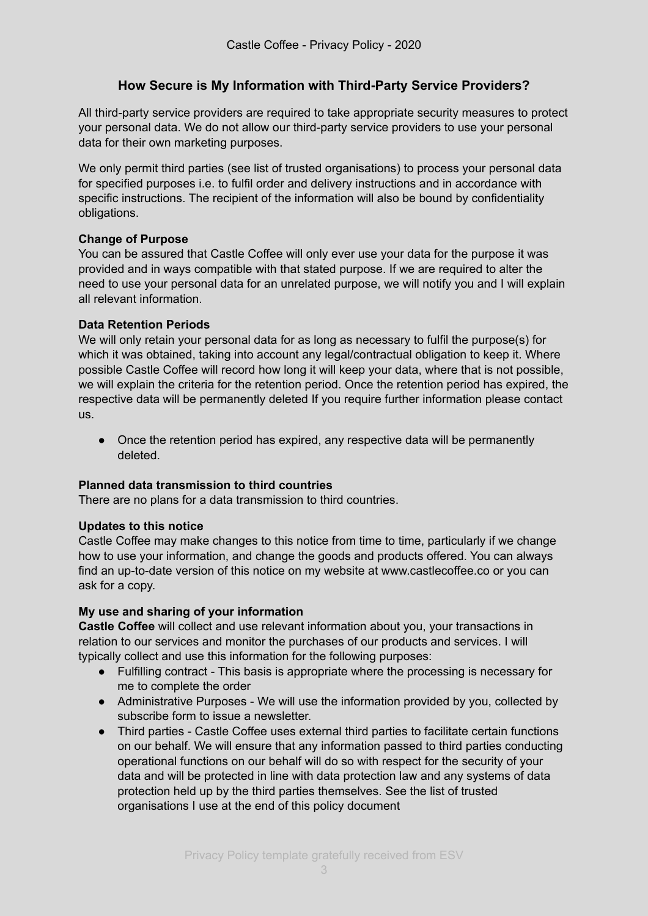# **How Secure is My Information with Third-Party Service Providers?**

All third-party service providers are required to take appropriate security measures to protect your personal data. We do not allow our third-party service providers to use your personal data for their own marketing purposes.

We only permit third parties (see list of trusted organisations) to process your personal data for specified purposes i.e. to fulfil order and delivery instructions and in accordance with specific instructions. The recipient of the information will also be bound by confidentiality obligations.

# **Change of Purpose**

You can be assured that Castle Coffee will only ever use your data for the purpose it was provided and in ways compatible with that stated purpose. If we are required to alter the need to use your personal data for an unrelated purpose, we will notify you and I will explain all relevant information.

#### **Data Retention Periods**

We will only retain your personal data for as long as necessary to fulfil the purpose(s) for which it was obtained, taking into account any legal/contractual obligation to keep it. Where possible Castle Coffee will record how long it will keep your data, where that is not possible, we will explain the criteria for the retention period. Once the retention period has expired, the respective data will be permanently deleted If you require further information please contact us.

• Once the retention period has expired, any respective data will be permanently deleted.

#### **Planned data transmission to third countries**

There are no plans for a data transmission to third countries.

#### **Updates to this notice**

Castle Coffee may make changes to this notice from time to time, particularly if we change how to use your information, and change the goods and products offered. You can always find an up-to-date version of this notice on my website at www.castlecoffee.co or you can ask for a copy.

#### **My use and sharing of your information**

**Castle Coffee** will collect and use relevant information about you, your transactions in relation to our services and monitor the purchases of our products and services. I will typically collect and use this information for the following purposes:

- Fulfilling contract This basis is appropriate where the processing is necessary for me to complete the order
- Administrative Purposes We will use the information provided by you, collected by subscribe form to issue a newsletter.
- Third parties Castle Coffee uses external third parties to facilitate certain functions on our behalf. We will ensure that any information passed to third parties conducting operational functions on our behalf will do so with respect for the security of your data and will be protected in line with data protection law and any systems of data protection held up by the third parties themselves. See the list of trusted organisations I use at the end of this policy document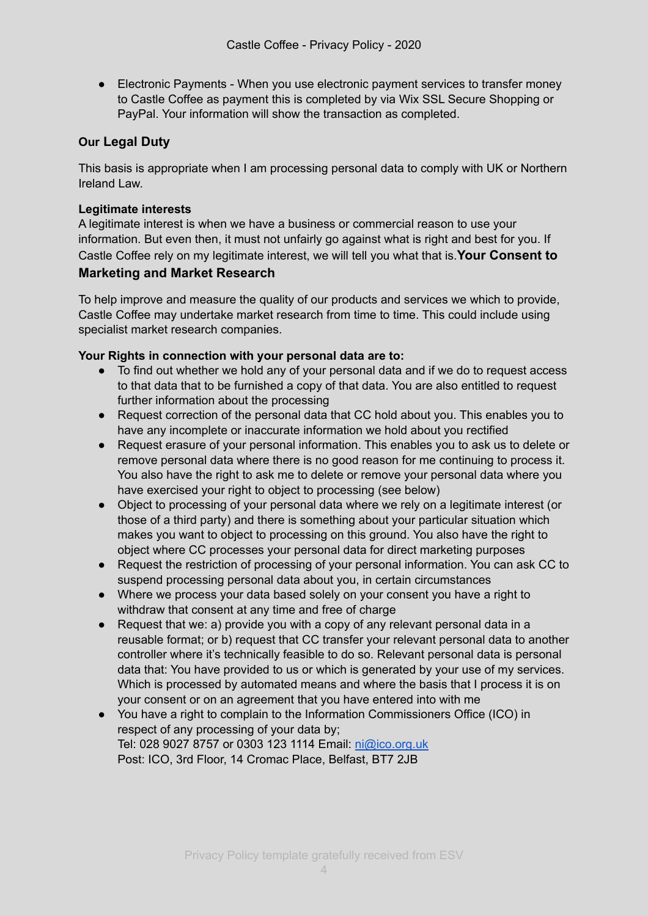● Electronic Payments - When you use electronic payment services to transfer money to Castle Coffee as payment this is completed by via Wix SSL Secure Shopping or PayPal. Your information will show the transaction as completed.

# **Our Legal Duty**

This basis is appropriate when I am processing personal data to comply with UK or Northern Ireland Law.

# **Legitimate interests**

A legitimate interest is when we have a business or commercial reason to use your information. But even then, it must not unfairly go against what is right and best for you. If Castle Coffee rely on my legitimate interest, we will tell you what that is.**Your Consent to** 

# **Marketing and Market Research**

To help improve and measure the quality of our products and services we which to provide, Castle Coffee may undertake market research from time to time. This could include using specialist market research companies.

# **Your Rights in connection with your personal data are to:**

- To find out whether we hold any of your personal data and if we do to request access to that data that to be furnished a copy of that data. You are also entitled to request further information about the processing
- Request correction of the personal data that CC hold about you. This enables you to have any incomplete or inaccurate information we hold about you rectified
- Request erasure of your personal information. This enables you to ask us to delete or remove personal data where there is no good reason for me continuing to process it. You also have the right to ask me to delete or remove your personal data where you have exercised your right to object to processing (see below)
- Object to processing of your personal data where we rely on a legitimate interest (or those of a third party) and there is something about your particular situation which makes you want to object to processing on this ground. You also have the right to object where CC processes your personal data for direct marketing purposes
- Request the restriction of processing of your personal information. You can ask CC to suspend processing personal data about you, in certain circumstances
- Where we process your data based solely on your consent you have a right to withdraw that consent at any time and free of charge
- Request that we: a) provide you with a copy of any relevant personal data in a reusable format; or b) request that CC transfer your relevant personal data to another controller where it's technically feasible to do so. Relevant personal data is personal data that: You have provided to us or which is generated by your use of my services. Which is processed by automated means and where the basis that I process it is on your consent or on an agreement that you have entered into with me
- You have a right to complain to the Information Commissioners Office (ICO) in respect of any processing of your data by; Tel: 028 9027 8757 or 0303 123 1114 Email: [ni@ico.org.uk](mailto:ni@ico.org.uk) Post: ICO, 3rd Floor, 14 Cromac Place, Belfast, BT7 2JB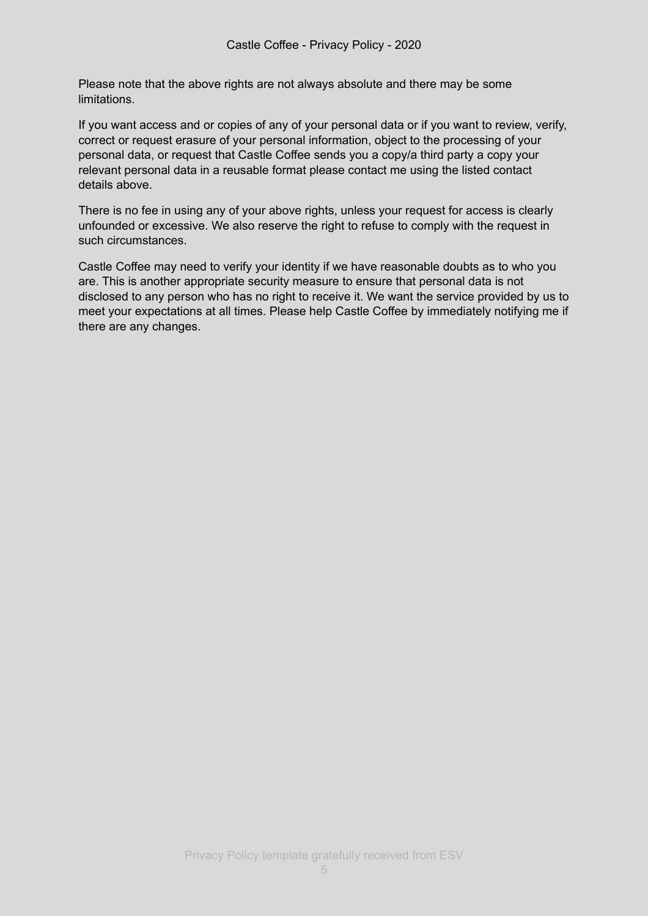Please note that the above rights are not always absolute and there may be some limitations.

If you want access and or copies of any of your personal data or if you want to review, verify, correct or request erasure of your personal information, object to the processing of your personal data, or request that Castle Coffee sends you a copy/a third party a copy your relevant personal data in a reusable format please contact me using the listed contact details above.

There is no fee in using any of your above rights, unless your request for access is clearly unfounded or excessive. We also reserve the right to refuse to comply with the request in such circumstances.

Castle Coffee may need to verify your identity if we have reasonable doubts as to who you are. This is another appropriate security measure to ensure that personal data is not disclosed to any person who has no right to receive it. We want the service provided by us to meet your expectations at all times. Please help Castle Coffee by immediately notifying me if there are any changes.